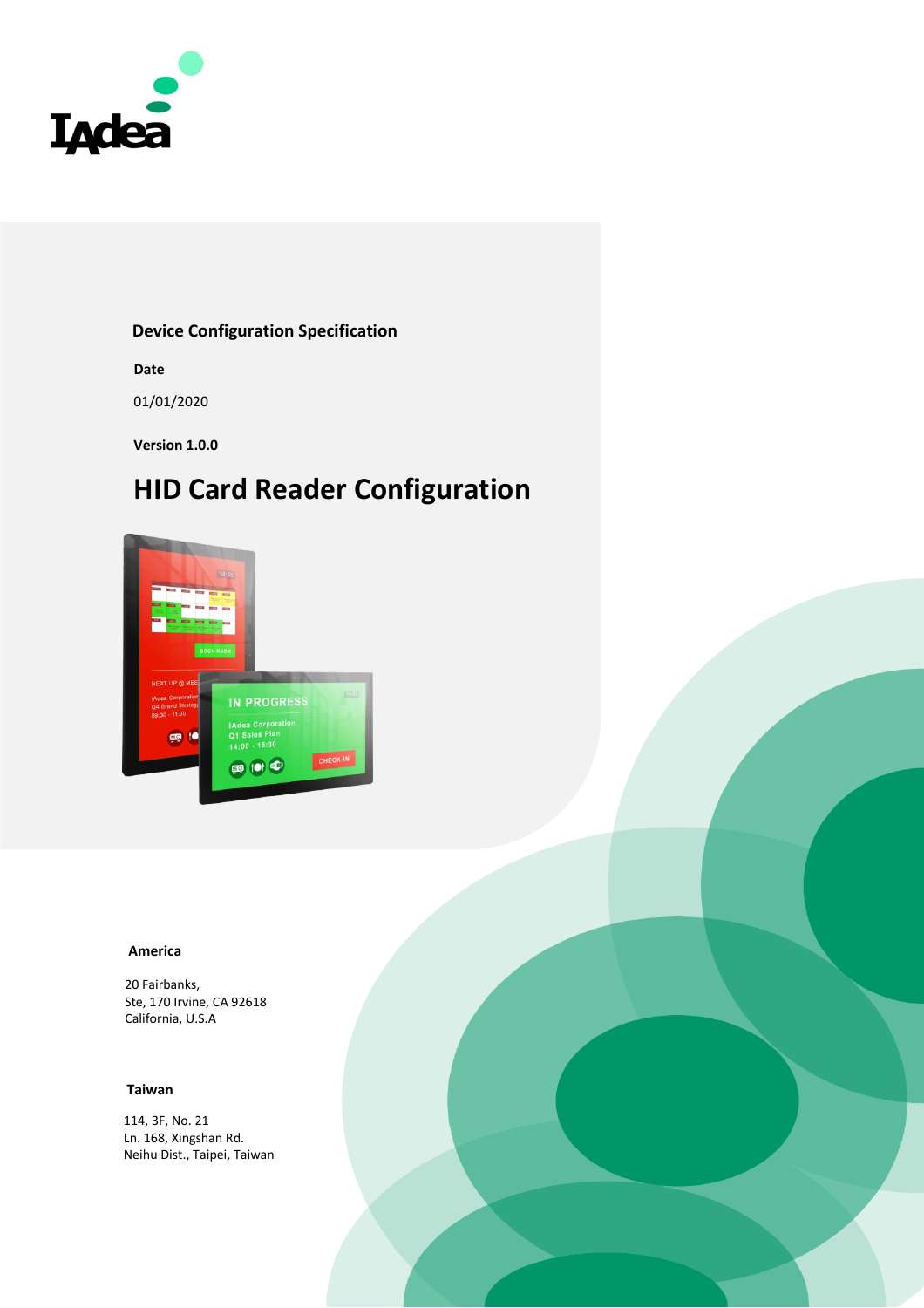

#### **Device Configuration Specification**

**Date**

01/01/2020

**Version 1.0.0**

# **HID Card Reader Configuration**



#### **America**

20 Fairbanks, Ste, 170 Irvine, CA 92618 California, U.S.A

#### **Taiwan**

114, 3F, No. 21 Ln. 168, Xingshan Rd. Neihu Dist., Taipei, Taiwan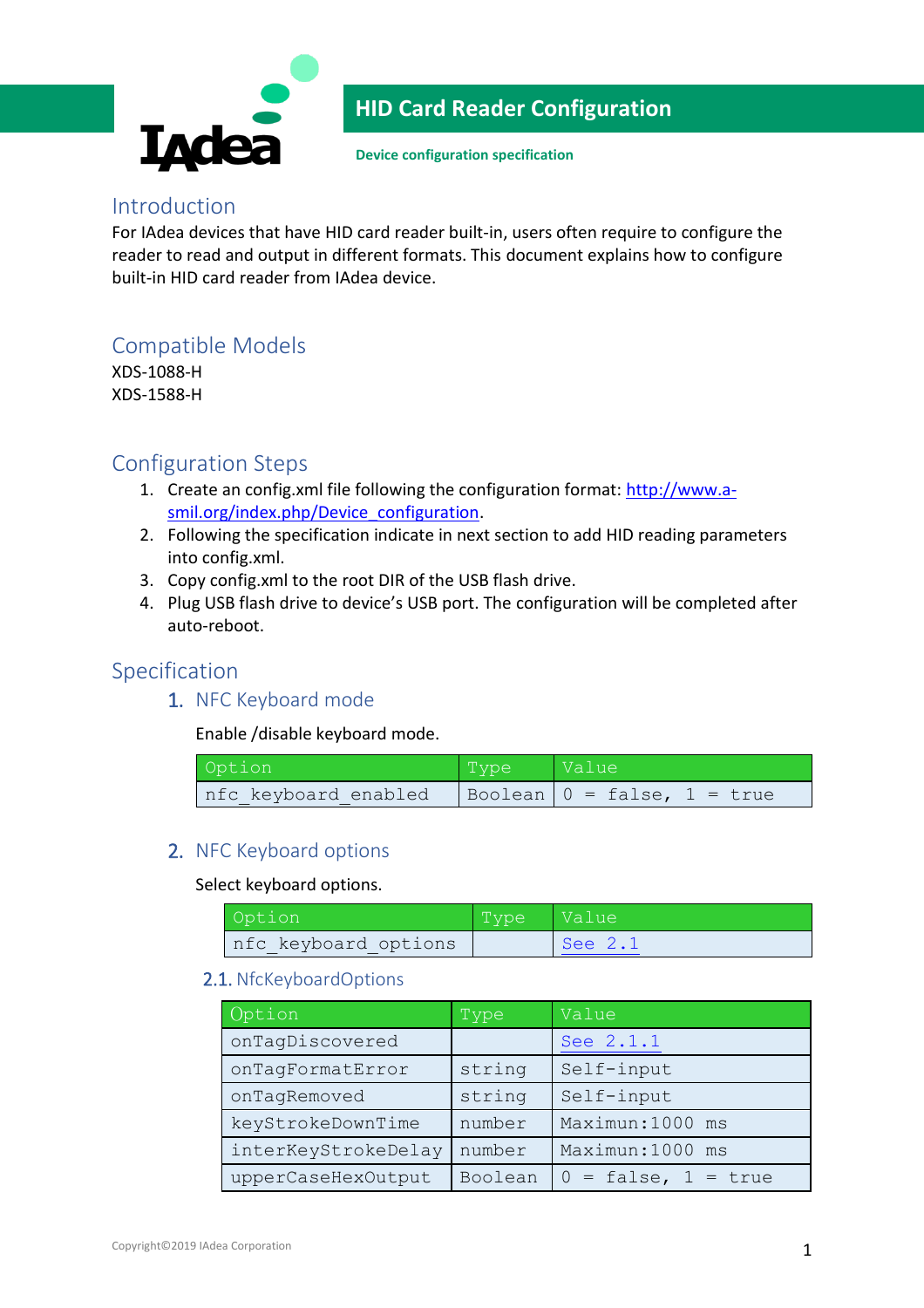

**Device configuration specification**

### Introduction

For IAdea devices that have HID card reader built-in, users often require to configure the reader to read and output in different formats. This document explains how to configure built-in HID card reader from IAdea device.

## Compatible Models

XDS-1088-H XDS-1588-H

### Configuration Steps

- 1. Create an config.xml file following the configuration format: [http://www.a](http://www.a-smil.org/index.php/Device_configuration)[smil.org/index.php/Device\\_configuration.](http://www.a-smil.org/index.php/Device_configuration)
- 2. Following the specification indicate in next section to add HID reading parameters into config.xml.
- 3. Copy config.xml to the root DIR of the USB flash drive.
- 4. Plug USB flash drive to device's USB port. The configuration will be completed after auto-reboot.

### Specification

1. NFC Keyboard mode

Enable /disable keyboard mode.

| Option               | Type | Value <sup></sup>                           |
|----------------------|------|---------------------------------------------|
| nfc keyboard enabled |      | $\vert$ Boolean $\vert$ 0 = false, 1 = true |

#### 2. NFC Keyboard options

Select keyboard options.

| Option                | Type | Value   |
|-----------------------|------|---------|
| Infc keyboard options |      | See 2.1 |

#### <span id="page-1-0"></span>2.1. NfcKeyboardOptions

| Option              | Type    | Value                    |
|---------------------|---------|--------------------------|
| onTagDiscovered     |         | See 2.1.1                |
| onTagFormatError    | string  | Self-input               |
| onTagRemoved        | string  | Self-input               |
| keyStrokeDownTime   | number  | Maximun: 1000 ms         |
| interKeyStrokeDelay | number  | Maximun: 1000 ms         |
| upperCaseHexOutput  | Boolean | $0 = false$ , $1 = true$ |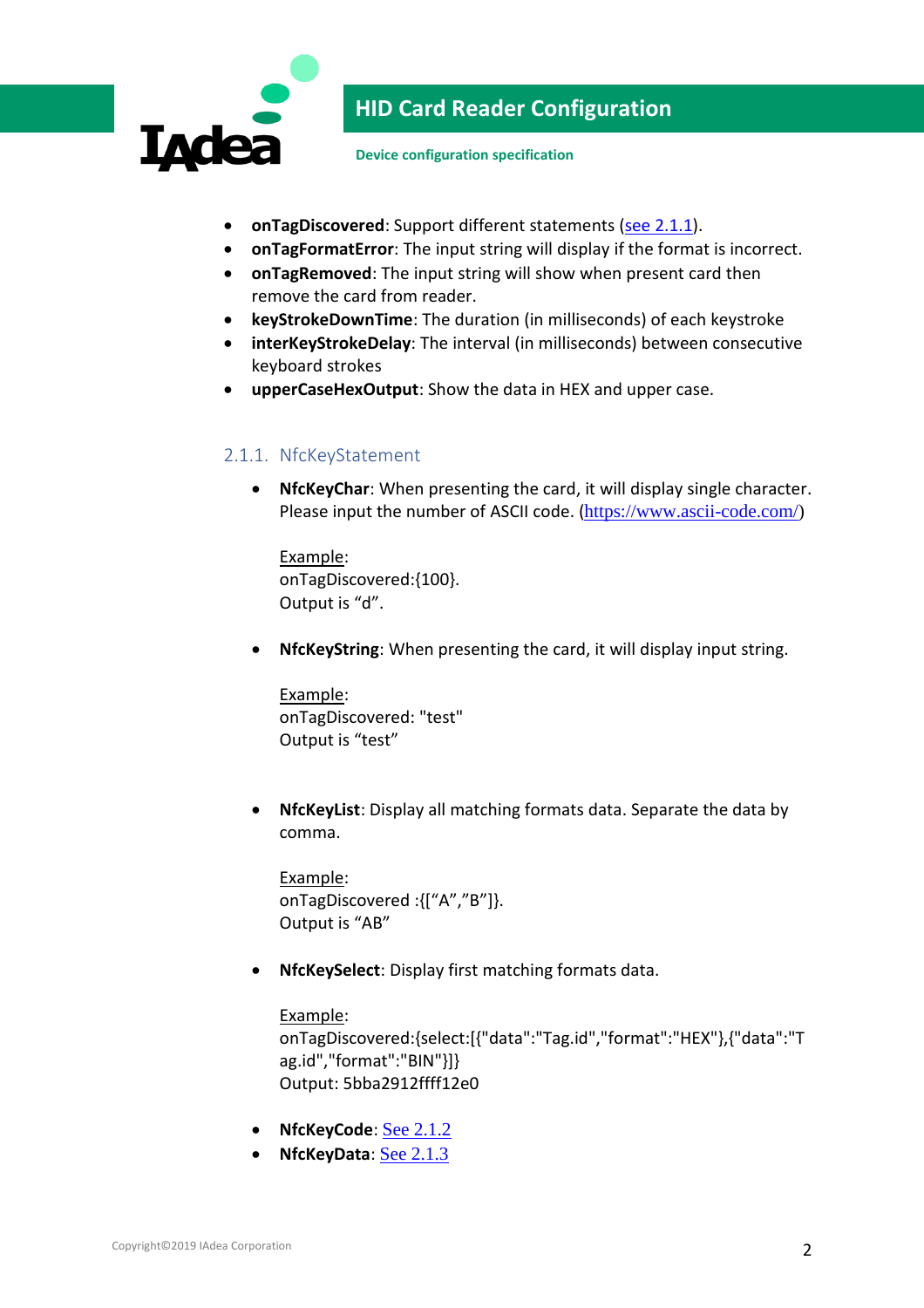

**Device configuration specification**

- **•** onTagDiscovered: Support different statements [\(see 2.1.1\)](#page-2-0).
- **onTagFormatError**: The input string will display if the format is incorrect.
- **onTagRemoved**: The input string will show when present card then remove the card from reader.
- **keyStrokeDownTime**: The duration (in milliseconds) of each keystroke
- **interKeyStrokeDelay**: The interval (in milliseconds) between consecutive keyboard strokes
- **upperCaseHexOutput**: Show the data in HEX and upper case.

### <span id="page-2-0"></span>2.1.1. NfcKeyStatement

 **NfcKeyChar**: When presenting the card, it will display single character. Please input the number of ASCII code. ([https://www.ascii-code.com/\)](https://www.ascii-code.com/)

Example: onTagDiscovered:{100}. Output is "d".

**NfcKeyString**: When presenting the card, it will display input string.

Example: onTagDiscovered: "test" Output is "test"

 **NfcKeyList**: Display all matching formats data. Separate the data by comma.

Example: onTagDiscovered :{["A","B"]}. Output is "AB"

**NfcKeySelect**: Display first matching formats data.

#### Example:

onTagDiscovered:{select:[{"data":"Tag.id","format":"HEX"},{"data":"T ag.id","format":"BIN"}]} Output: 5bba2912ffff12e0

- **•** NfcKeyCode: [See 2.1.2](#page-3-0)
- NfcKeyData: [See 2.1.3](#page-3-1)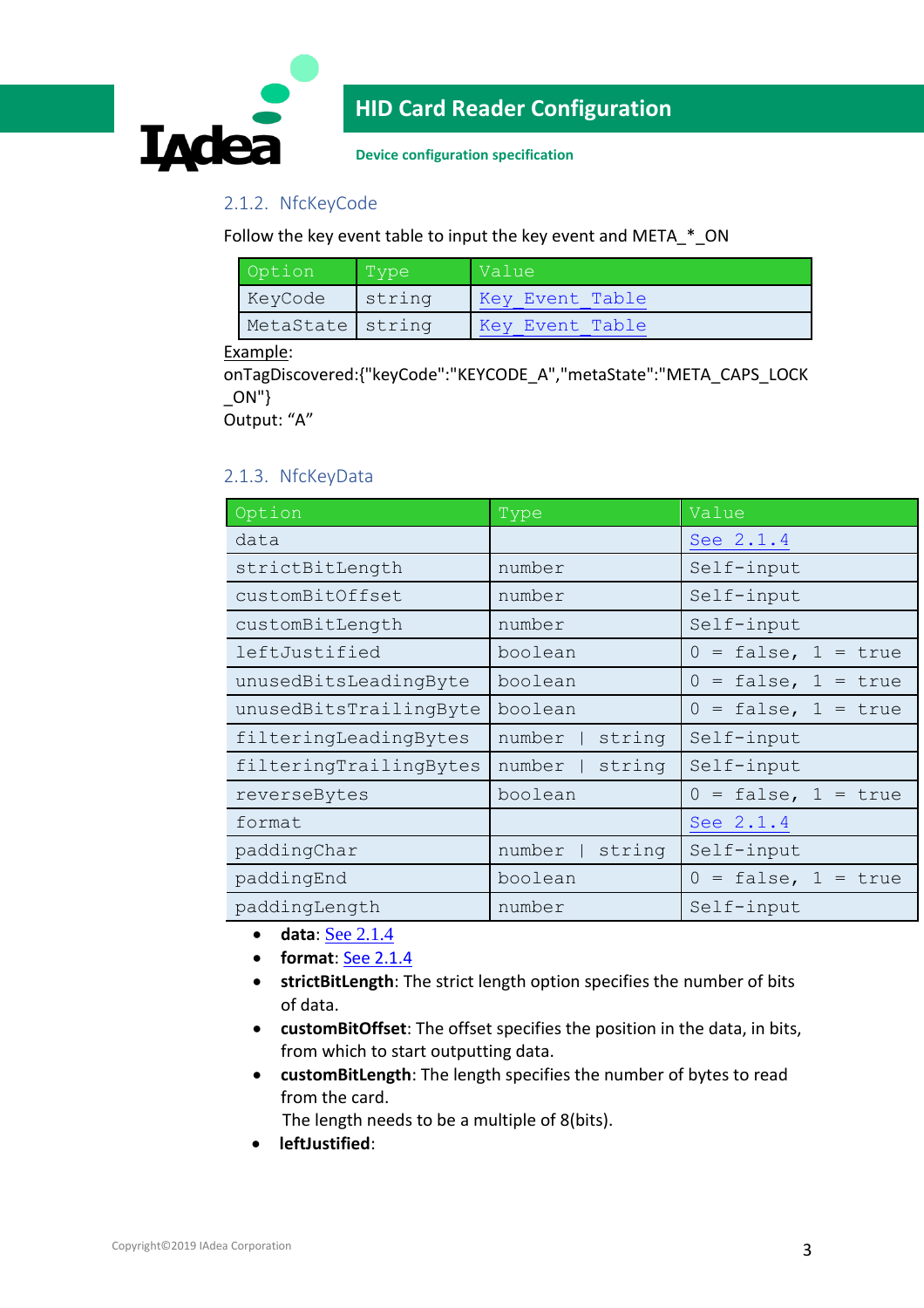

**Device configuration specification**

### <span id="page-3-0"></span>2.1.2. NfcKeyCode

Follow the key event table to input the key event and META\_\*\_ON

| Option           | Type   | Value           |  |
|------------------|--------|-----------------|--|
| KeyCode          | string | Key Event Table |  |
| MetaState string |        | Key Event Table |  |

#### Example:

onTagDiscovered:{"keyCode":"KEYCODE\_A","metaState":"META\_CAPS\_LOCK  $\lfloor$ ON"}

Output: "A"

### <span id="page-3-1"></span>2.1.3. NfcKeyData

| Option                 | Type             | Value                    |
|------------------------|------------------|--------------------------|
| data                   |                  | See 2.1.4                |
| strictBitLength        | number           | Self-input               |
| customBitOffset        | number           | Self-input               |
| customBitLength        | number           | Self-input               |
| leftJustified          | boolean          | $0 = false$ , $1 = true$ |
| unusedBitsLeadingByte  | boolean          | $0 = false$ , $1 = true$ |
| unusedBitsTrailingByte | boolean          | $0 = false$ , $1 = true$ |
| filteringLeadingBytes  | string<br>number | Self-input               |
| filteringTrailingBytes | string<br>number | Self-input               |
| reverseBytes           | boolean          | $0 = false$ , $1 = true$ |
| format                 |                  | See 2.1.4                |
| paddingChar            | string<br>number | Self-input               |
| paddingEnd             | boolean          | $0 = false, 1 =$<br>true |
| paddingLength          | number           | Self-input               |

- **data**: [See 2.1.4](#page-6-0)
- **format**: [See 2.1.4](#page-6-0)
- **strictBitLength**: The strict length option specifies the number of bits of data.
- **customBitOffset**: The offset specifies the position in the data, in bits, from which to start outputting data.
- **customBitLength**: The length specifies the number of bytes to read from the card.

The length needs to be a multiple of 8(bits).

**leftJustified**: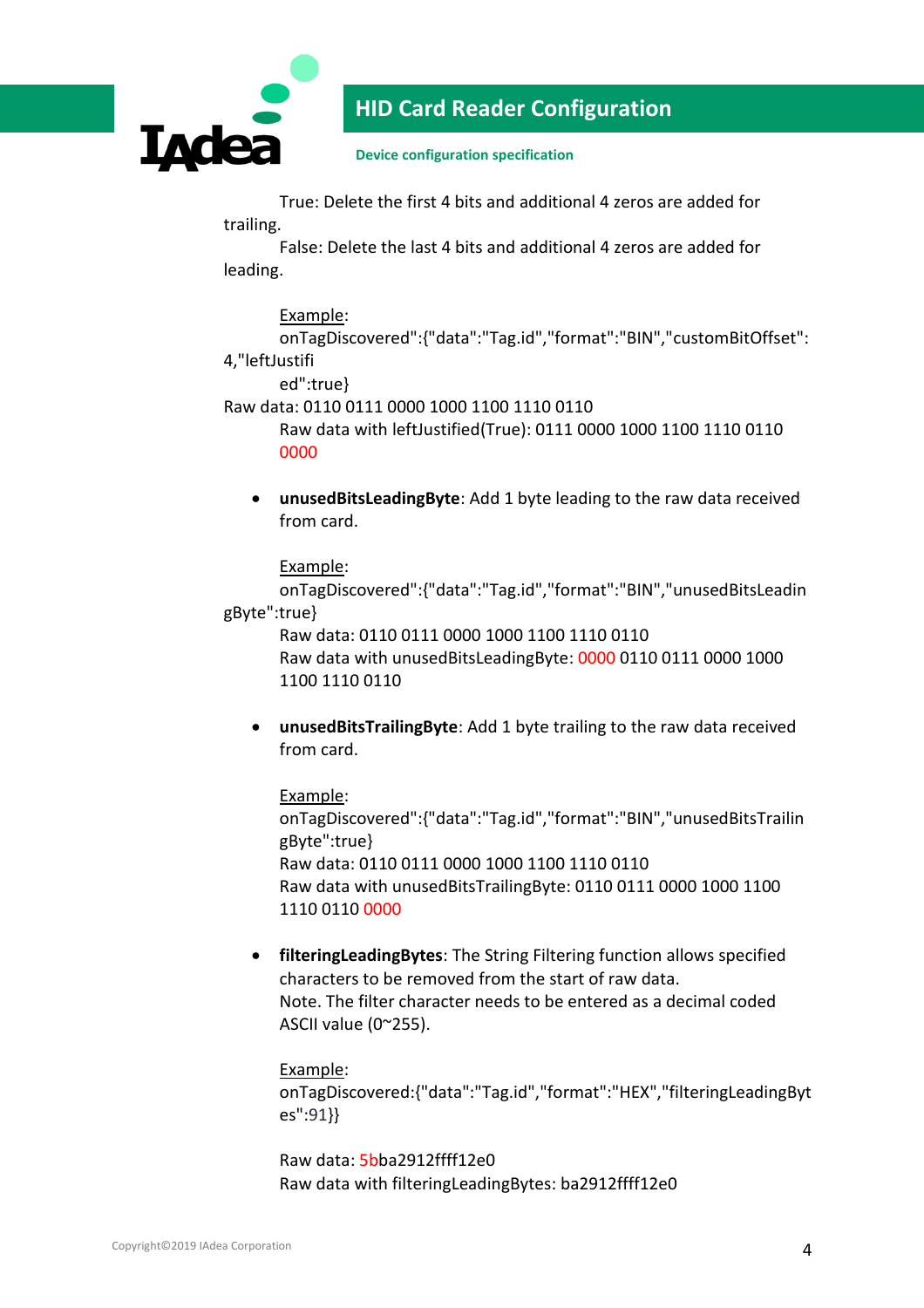

**Device configuration specification**

True: Delete the first 4 bits and additional 4 zeros are added for trailing.

False: Delete the last 4 bits and additional 4 zeros are added for leading.

#### Example:

onTagDiscovered":{"data":"Tag.id","format":"BIN","customBitOffset": 4,"leftJustifi

ed":true}

Raw data: 0110 0111 0000 1000 1100 1110 0110

Raw data with leftJustified(True): 0111 0000 1000 1100 1110 0110 0000

 **unusedBitsLeadingByte**: Add 1 byte leading to the raw data received from card.

Example:

onTagDiscovered":{"data":"Tag.id","format":"BIN","unusedBitsLeadin gByte":true}

Raw data: 0110 0111 0000 1000 1100 1110 0110 Raw data with unusedBitsLeadingByte: 0000 0110 0111 0000 1000 1100 1110 0110

 **unusedBitsTrailingByte**: Add 1 byte trailing to the raw data received from card.

Example: onTagDiscovered":{"data":"Tag.id","format":"BIN","unusedBitsTrailin gByte":true} Raw data: 0110 0111 0000 1000 1100 1110 0110 Raw data with unusedBitsTrailingByte: 0110 0111 0000 1000 1100 1110 0110 0000

 **filteringLeadingBytes**: The String Filtering function allows specified characters to be removed from the start of raw data. Note. The filter character needs to be entered as a decimal coded ASCII value (0~255).

#### Example:

onTagDiscovered:{"data":"Tag.id","format":"HEX","filteringLeadingByt es":91}}

Raw data: 5bba2912ffff12e0 Raw data with filteringLeadingBytes: ba2912ffff12e0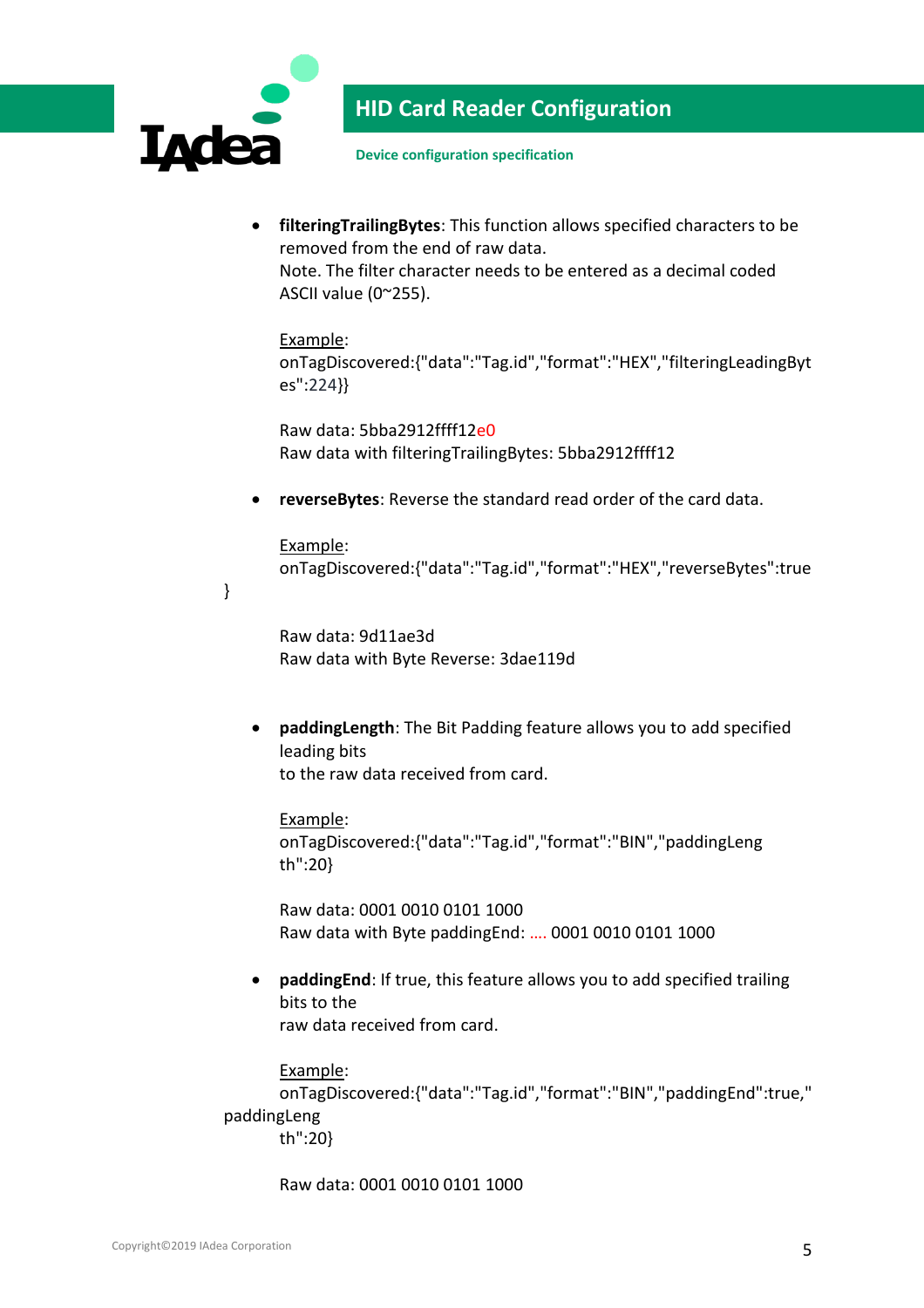

}

# **HID Card Reader Configuration**

**Device configuration specification**

 **filteringTrailingBytes**: This function allows specified characters to be removed from the end of raw data.

Note. The filter character needs to be entered as a decimal coded ASCII value (0~255).

#### Example:

onTagDiscovered:{"data":"Tag.id","format":"HEX","filteringLeadingByt es":224}}

Raw data: 5bba2912ffff12e0 Raw data with filteringTrailingBytes: 5bba2912ffff12

**reverseBytes**: Reverse the standard read order of the card data.

Example: onTagDiscovered:{"data":"Tag.id","format":"HEX","reverseBytes":true

Raw data: 9d11ae3d Raw data with Byte Reverse: 3dae119d

 **paddingLength**: The Bit Padding feature allows you to add specified leading bits to the raw data received from card.

Example: onTagDiscovered:{"data":"Tag.id","format":"BIN","paddingLeng th":20}

Raw data: 0001 0010 0101 1000 Raw data with Byte paddingEnd: …. 0001 0010 0101 1000

 **paddingEnd**: If true, this feature allows you to add specified trailing bits to the raw data received from card.

Example:

onTagDiscovered:{"data":"Tag.id","format":"BIN","paddingEnd":true," paddingLeng th":20}

Raw data: 0001 0010 0101 1000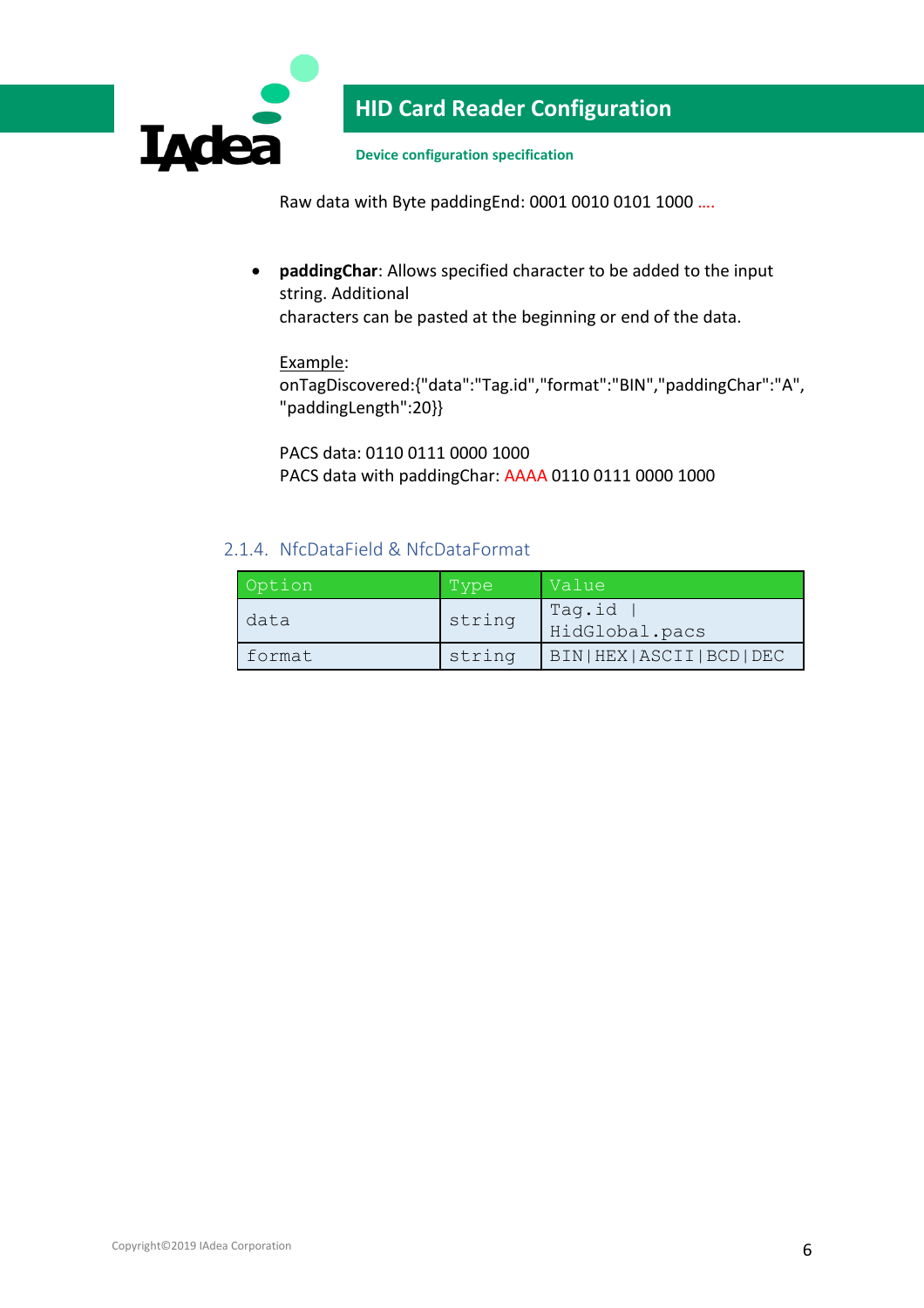

**Device configuration specification**

Raw data with Byte paddingEnd: 0001 0010 0101 1000 ….

 **paddingChar**: Allows specified character to be added to the input string. Additional

characters can be pasted at the beginning or end of the data.

#### Example:

onTagDiscovered:{"data":"Tag.id","format":"BIN","paddingChar":"A", "paddingLength":20}}

PACS data: 0110 0111 0000 1000 PACS data with paddingChar: AAAA 0110 0111 0000 1000

### <span id="page-6-0"></span>2.1.4. NfcDataField & NfcDataFormat

| Option | Type   | Value                         |
|--------|--------|-------------------------------|
| data   | string | Tag.id<br>HidGlobal.pacs      |
| format | string | BIN   HEX   ASCII   BCD   DEC |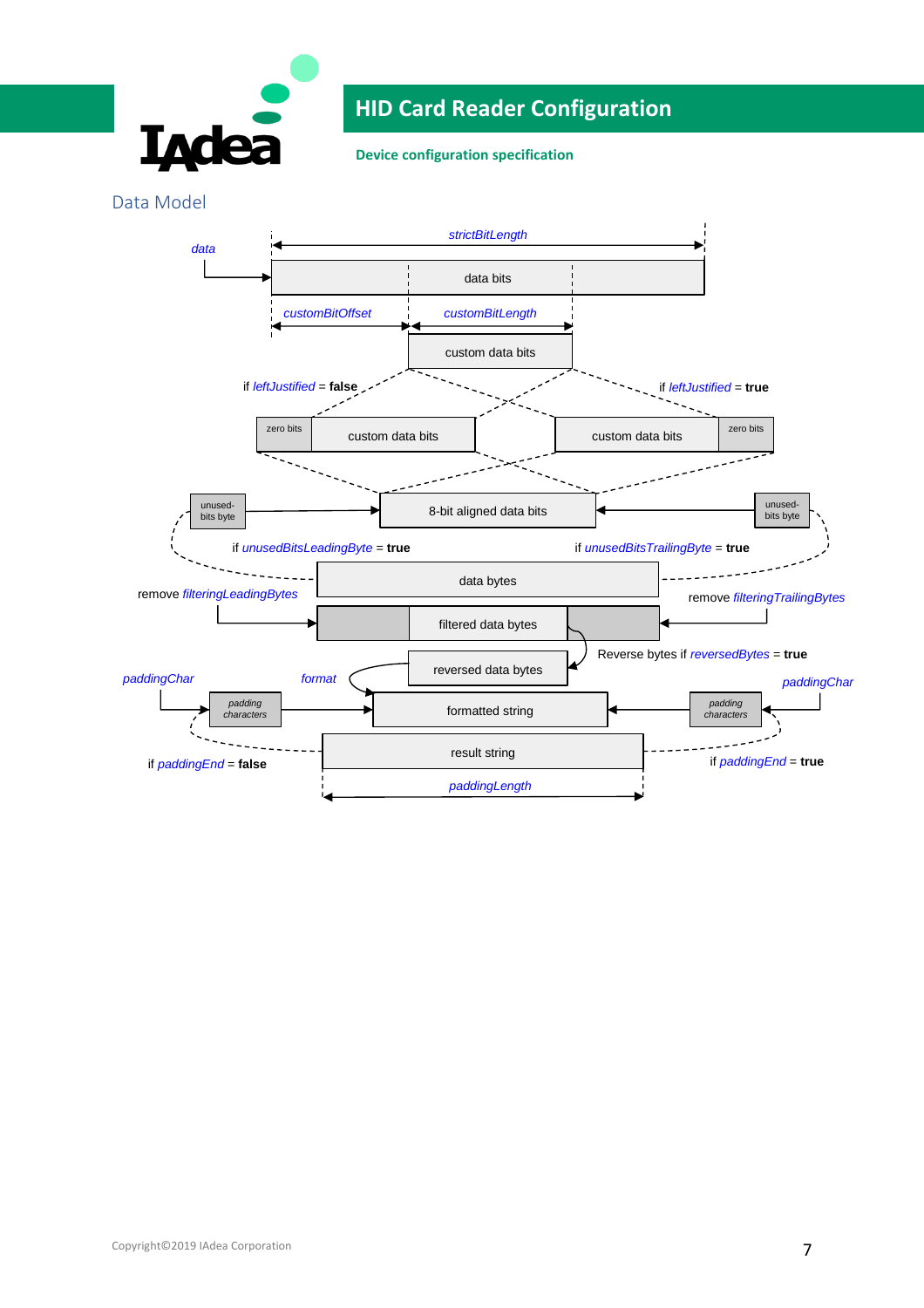

**Device configuration specification**

Data Model